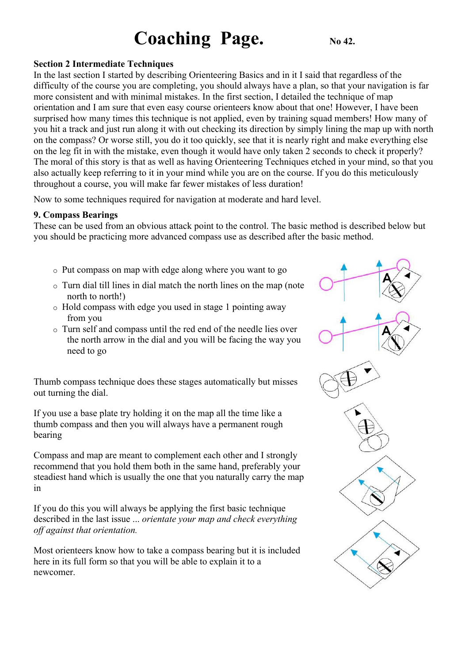## **Coaching Page.** No.42.

#### **Section 2 Intermediate Techniques**

In the last section I started by describing Orienteering Basics and in it I said that regardless of the difficulty of the course you are completing, you should always have a plan, so that your navigation is far more consistent and with minimal mistakes. In the first section, I detailed the technique of map orientation and I am sure that even easy course orienteers know about that one! However, I have been surprised how many times this technique is not applied, even by training squad members! How many of you hit a track and just run along it with out checking its direction by simply lining the map up with north on the compass? Or worse still, you do it too quickly, see that it is nearly right and make everything else on the leg fit in with the mistake, even though it would have only taken 2 seconds to check it properly? The moral of this story is that as well as having Orienteering Techniques etched in your mind, so that you also actually keep referring to it in your mind while you are on the course. If you do this meticulously throughout a course, you will make far fewer mistakes of less duration!

Now to some techniques required for navigation at moderate and hard level.

#### **9. Compass Bearings**

These can be used from an obvious attack point to the control. The basic method is described below but you should be practicing more advanced compass use as described after the basic method.

- o Put compass on map with edge along where you want to go
- o Turn dial till lines in dial match the north lines on the map (note north to north!)
- o Hold compass with edge you used in stage 1 pointing away from you
- o Turn self and compass until the red end of the needle lies over the north arrow in the dial and you will be facing the way you need to go

Thumb compass technique does these stages automatically but misses out turning the dial.

If you use a base plate try holding it on the map all the time like a thumb compass and then you will always have a permanent rough bearing

Compass and map are meant to complement each other and I strongly recommend that you hold them both in the same hand, preferably your steadiest hand which is usually the one that you naturally carry the map in

If you do this you will always be applying the first basic technique described in the last issue ... *orientate your map and check everything off against that orientation.*

Most orienteers know how to take a compass bearing but it is included here in its full form so that you will be able to explain it to a newcomer.